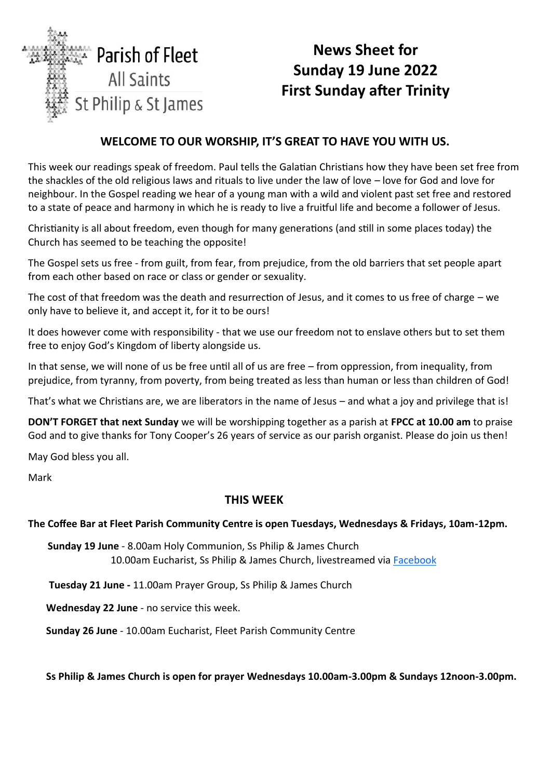

# **News Sheet for Sunday 19 June 2022 First Sunday after Trinity**

## **WELCOME TO OUR WORSHIP, IT'S GREAT TO HAVE YOU WITH US.**

This week our readings speak of freedom. Paul tells the Galatian Christians how they have been set free from the shackles of the old religious laws and rituals to live under the law of love – love for God and love for neighbour. In the Gospel reading we hear of a young man with a wild and violent past set free and restored to a state of peace and harmony in which he is ready to live a fruitful life and become a follower of Jesus.

Christianity is all about freedom, even though for many generations (and still in some places today) the Church has seemed to be teaching the opposite!

The Gospel sets us free - from guilt, from fear, from prejudice, from the old barriers that set people apart from each other based on race or class or gender or sexuality.

The cost of that freedom was the death and resurrection of Jesus, and it comes to us free of charge – we only have to believe it, and accept it, for it to be ours!

It does however come with responsibility - that we use our freedom not to enslave others but to set them free to enjoy God's Kingdom of liberty alongside us.

In that sense, we will none of us be free until all of us are free – from oppression, from inequality, from prejudice, from tyranny, from poverty, from being treated as less than human or less than children of God!

That's what we Christians are, we are liberators in the name of Jesus – and what a joy and privilege that is!

**DON'T FORGET that next Sunday** we will be worshipping together as a parish at **FPCC at 10.00 am** to praise God and to give thanks for Tony Cooper's 26 years of service as our parish organist. Please do join us then!

May God bless you all.

Mark

#### **THIS WEE[K](http://www.facebook.com/parishoffleet)**

#### **The Coffee Bar at Fleet Parish Community Centre is open Tuesdays, Wednesdays & Fridays, 10am-12pm.**

**Sunday 19 June** - 8.00am Holy Communion, Ss Philip & James Church 10.00am Eucharist, Ss Philip & James Church, livestreamed via [Facebook](http://www.facebook.com/parishoffleet)

**Tuesday 21 June -** 11.00am Prayer Group, Ss Philip & James Church

**Wednesday 22 June** - no service this week.

**Sunday 26 June** - 10.00am Eucharist, Fleet Parish Community Centre

**Ss Philip & James Church is open for prayer Wednesdays 10.00am-3.00pm & Sundays 12noon-3.00pm.**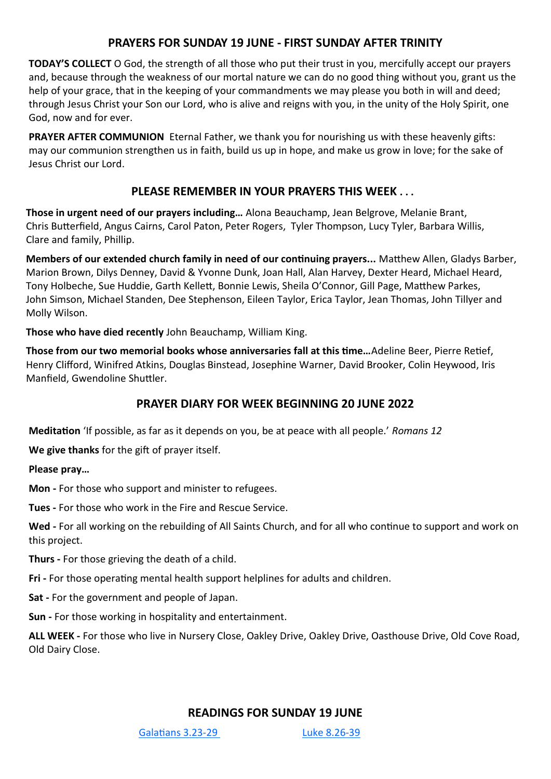## **PRAYERS FOR SUNDAY 19 JUNE - FIRST SUNDAY AFTER TRINITY**

**TODAY'S COLLECT** O God, the strength of all those who put their trust in you, mercifully accept our prayers and, because through the weakness of our mortal nature we can do no good thing without you, grant us the help of your grace, that in the keeping of your commandments we may please you both in will and deed; through Jesus Christ your Son our Lord, who is alive and reigns with you, in the unity of the Holy Spirit, one God, now and for ever.

**PRAYER AFTER COMMUNION** Eternal Father, we thank you for nourishing us with these heavenly gifts: may our communion strengthen us in faith, build us up in hope, and make us grow in love; for the sake of Jesus Christ our Lord.

#### **PLEASE REMEMBER IN YOUR PRAYERS THIS WEEK . . .**

**Those in urgent need of our prayers including…** Alona Beauchamp, Jean Belgrove, Melanie Brant, Chris Butterfield, Angus Cairns, Carol Paton, Peter Rogers, Tyler Thompson, Lucy Tyler, Barbara Willis, Clare and family, Phillip.

**Members of our extended church family in need of our continuing prayers...** Matthew Allen, Gladys Barber, Marion Brown, Dilys Denney, David & Yvonne Dunk, Joan Hall, Alan Harvey, Dexter Heard, Michael Heard, Tony Holbeche, Sue Huddie, Garth Kellett, Bonnie Lewis, Sheila O'Connor, Gill Page, Matthew Parkes, John Simson, Michael Standen, Dee Stephenson, Eileen Taylor, Erica Taylor, Jean Thomas, John Tillyer and Molly Wilson.

**Those who have died recently** John Beauchamp, William King.

**Those from our two memorial books whose anniversaries fall at this time…**Adeline Beer, Pierre Retief, Henry Clifford, Winifred Atkins, Douglas Binstead, Josephine Warner, David Brooker, Colin Heywood, Iris Manfield, Gwendoline Shuttler.

#### **PRAYER DIARY FOR WEEK BEGINNING 20 JUNE 2022**

**Meditation** 'If possible, as far as it depends on you, be at peace with all people.' *Romans 12*

**We give thanks** for the gift of prayer itself.

**Please pray…**

**Mon -** For those who support and minister to refugees.

**Tues -** For those who work in the Fire and Rescue Service.

**Wed -** For all working on the rebuilding of All Saints Church, and for all who continue to support and work on this project.

**Thurs -** For those grieving the death of a child.

**Fri -** For those operating mental health support helplines for adults and children.

**Sat -** For the government and people of Japan.

**Sun -** For those working in hospitality and entertainment.

**ALL WEEK -** For those who live in Nursery Close, Oakley Drive, Oakley Drive, Oasthouse Drive, Old Cove Road, Old Dairy Close.

#### **READINGS FOR SUNDAY 19 JUNE**